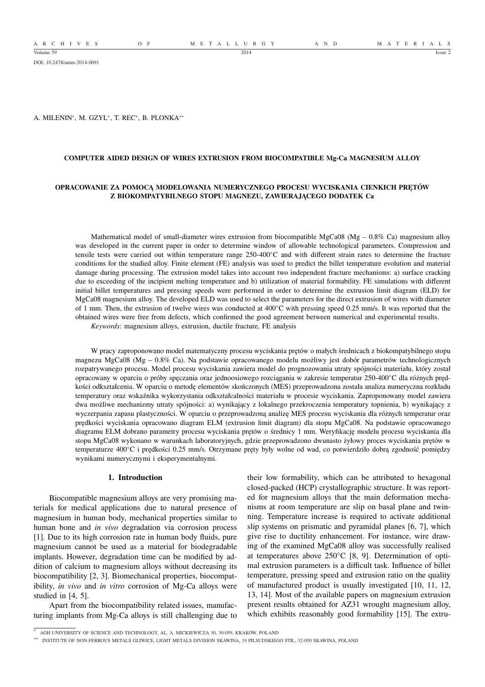A R C H I V E S O F M E T A L L U R G Y A N D M A T E R I A L S

DOI: 10.2478/amm-2014-0091

A. MILENIN<sup>∗</sup> , M. GZYL<sup>∗</sup> , T. REC<sup>∗</sup> , B. PLONKA∗∗

## **COMPUTER AIDED DESIGN OF WIRES EXTRUSION FROM BIOCOMPATIBLE Mg-Ca MAGNESIUM ALLOY**

# **OPRACOWANIE ZA POMOCĄ MODELOWANIA NUMERYCZNEGO PROCESU WYCISKANIA CIENKICH PRĘTÓW Z BIOKOMPATYBILNEGO STOPU MAGNEZU, ZAWIERAJĄCEGO DODATEK Ca**

Mathematical model of small-diameter wires extrusion from biocompatible MgCa08 (Mg – 0.8% Ca) magnesium alloy was developed in the current paper in order to determine window of allowable technological parameters. Compression and tensile tests were carried out within temperature range 250-400◦C and with different strain rates to determine the fracture conditions for the studied alloy. Finite element (FE) analysis was used to predict the billet temperature evolution and material damage during processing. The extrusion model takes into account two independent fracture mechanisms: a) surface cracking due to exceeding of the incipient melting temperature and b) utilization of material formability. FE simulations with different initial billet temperatures and pressing speeds were performed in order to determine the extrusion limit diagram (ELD) for MgCa08 magnesium alloy. The developed ELD was used to select the parameters for the direct extrusion of wires with diameter of 1 mm. Then, the extrusion of twelve wires was conducted at 400◦C with pressing speed 0.25 mm/s. It was reported that the obtained wires were free from defects, which confirmed the good agreement between numerical and experimental results.

*Keywords*: magnesium alloys, extrusion, ductile fracture, FE analysis

W pracy zaproponowano model matematyczny procesu wyciskania prętów o małych średnicach z biokompatybilnego stopu magnezu MgCa08 (Mg – 0.8% Ca). Na podstawie opracowanego modelu możliwy jest dobór parametrów technologicznych rozpatrywanego procesu. Model procesu wyciskania zawiera model do prognozowania utraty spójności materiału, który został opracowany w oparciu o próby spęczania oraz jednoosiowego rozciągania w zakresie temperatur 250-400◦C dla różnych prędkości odkształcenia. W oparciu o metodę elementów skończonych (MES) przeprowadzona została analiza numeryczna rozkładu temperatury oraz wskaźnika wykorzystania odkształcalności materiału w procesie wyciskania. Zaproponowany model zawiera dwa możliwe mechanizmy utraty spójności: a) wynikający z lokalnego przekroczenia temperatury topnienia, b) wynikający z wyczerpania zapasu plastyczności. W oparciu o przeprowadzoną analizę MES procesu wyciskania dla różnych temperatur oraz prędkości wyciskania opracowano diagram ELM (extrusion limit diagram) dla stopu MgCa08. Na podstawie opracowanego diagramu ELM dobrano parametry procesu wyciskania prętów o średnicy 1 mm. Weryfikację modelu procesu wyciskania dla stopu MgCa08 wykonano w warunkach laboratoryjnych, gdzie przeprowadzono dwunasto żyłowy proces wyciskania prętów w temperaturze 400◦C i prędkości 0.25 mm/s. Otrzymane pręty były wolne od wad, co potwierdziło dobrą zgodność pomiędzy wynikami numerycznymi i eksperymentalnymi.

# **1. Introduction**

Biocompatible magnesium alloys are very promising materials for medical applications due to natural presence of magnesium in human body, mechanical properties similar to human bone and *in vivo* degradation via corrosion process [1]. Due to its high corrosion rate in human body fluids, pure magnesium cannot be used as a material for biodegradable implants. However, degradation time can be modified by addition of calcium to magnesium alloys without decreasing its biocompatibility [2, 3]. Biomechanical properties, biocompatibility, *in vivo* and *in vitro* corrosion of Mg-Ca alloys were studied in [4, 5].

Apart from the biocompatibility related issues, manufacturing implants from Mg-Ca alloys is still challenging due to their low formability, which can be attributed to hexagonal closed-packed (HCP) crystallographic structure. It was reported for magnesium alloys that the main deformation mechanisms at room temperature are slip on basal plane and twinning. Temperature increase is required to activate additional slip systems on prismatic and pyramidal planes [6, 7], which give rise to ductility enhancement. For instance, wire drawing of the examined MgCa08 alloy was successfully realised at temperatures above 250◦C [8, 9]. Determination of optimal extrusion parameters is a difficult task. Influence of billet temperature, pressing speed and extrusion ratio on the quality of manufactured product is usually investigated [10, 11, 12, 13, 14]. Most of the available papers on magnesium extrusion present results obtained for AZ31 wrought magnesium alloy, which exhibits reasonably good formability [15]. The extru-

<sup>∗</sup> AGH UNIVERSITY OF SCIENCE AND TECHNOLOGY, AL. A. MICKIEWICZA 30, 30-059, KRAKÓW, POLAND

<sup>∗∗</sup> INSTITUTE OF NON-FERROUS METALS GLIWICE, LIGHT METALS DIVISION SKAWINA, 19 PILSUDSKIEGO STR., 32-050 SKAWINA, POLAND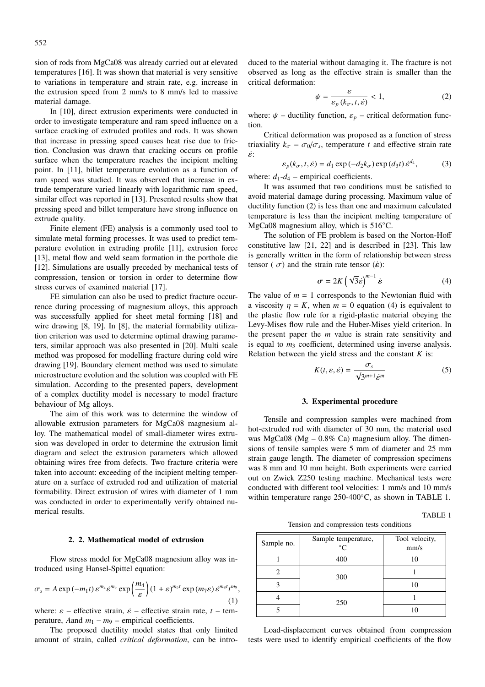sion of rods from MgCa08 was already carried out at elevated temperatures [16]. It was shown that material is very sensitive to variations in temperature and strain rate, e.g. increase in the extrusion speed from 2 mm/s to 8 mm/s led to massive material damage.

In [10], direct extrusion experiments were conducted in order to investigate temperature and ram speed influence on a surface cracking of extruded profiles and rods. It was shown that increase in pressing speed causes heat rise due to friction. Conclusion was drawn that cracking occurs on profile surface when the temperature reaches the incipient melting point. In [11], billet temperature evolution as a function of ram speed was studied. It was observed that increase in extrude temperature varied linearly with logarithmic ram speed, similar effect was reported in [13]. Presented results show that pressing speed and billet temperature have strong influence on extrude quality.

Finite element (FE) analysis is a commonly used tool to simulate metal forming processes. It was used to predict temperature evolution in extruding profile [11], extrusion force [13], metal flow and weld seam formation in the porthole die [12]. Simulations are usually preceded by mechanical tests of compression, tension or torsion in order to determine flow stress curves of examined material [17].

FE simulation can also be used to predict fracture occurrence during processing of magnesium alloys, this approach was successfully applied for sheet metal forming [18] and wire drawing [8, 19]. In [8], the material formability utilization criterion was used to determine optimal drawing parameters, similar approach was also presented in [20]. Multi scale method was proposed for modelling fracture during cold wire drawing [19]. Boundary element method was used to simulate microstructure evolution and the solution was coupled with FE simulation. According to the presented papers, development of a complex ductility model is necessary to model fracture behaviour of Mg alloys.

The aim of this work was to determine the window of allowable extrusion parameters for MgCa08 magnesium alloy. The mathematical model of small-diameter wires extrusion was developed in order to determine the extrusion limit diagram and select the extrusion parameters which allowed obtaining wires free from defects. Two fracture criteria were taken into account: exceeding of the incipient melting temperature on a surface of extruded rod and utilization of material formability. Direct extrusion of wires with diameter of 1 mm was conducted in order to experimentally verify obtained numerical results.

## **2. 2. Mathematical model of extrusion**

Flow stress model for MgCa08 magnesium alloy was introduced using Hansel-Spittel equation:

$$
\sigma_s = A \exp(-m_1 t) \varepsilon^{m_2} \varepsilon^{m_3} \exp\left(\frac{m_4}{\varepsilon}\right) (1 + \varepsilon)^{m_5 t} \exp(m_7 \varepsilon) \varepsilon^{m_8 t} t^{m_9},
$$
\n(1)\nwhere:  $\varepsilon$ , effective strain,  $\dot{\varepsilon}$ , effective strain rate,  $t$  term

where:  $\varepsilon$  – effective strain,  $\dot{\varepsilon}$  – effective strain rate, *t* perature, Aand  $m_1 - m_9$  – empirical coefficients.

The proposed ductility model states that only limited amount of strain, called *critical deformation*, can be introduced to the material without damaging it. The fracture is not observed as long as the effective strain is smaller than the critical deformation:

$$
\psi = \frac{\varepsilon}{\varepsilon_p \left( k_\sigma, t, \dot{\varepsilon} \right)} < 1,\tag{2}
$$

where:  $\psi$  – ductility function,  $\varepsilon_p$  – critical deformation function.

Critical deformation was proposed as a function of stress triaxiality  $k_{\sigma} = \sigma_0 / \sigma_s$ , temperature *t* and effective strain rate ε˙:

$$
\varepsilon_p(k_\sigma, t, \dot{\varepsilon}) = d_1 \exp(-d_2 k_\sigma) \exp(d_3 t) \dot{\varepsilon}^{d_4},\tag{3}
$$

where:  $d_1 - d_4$  – empirical coefficients.

It was assumed that two conditions must be satisfied to avoid material damage during processing. Maximum value of ductility function (2) is less than one and maximum calculated temperature is less than the incipient melting temperature of MgCa08 magnesium alloy, which is 516◦C.

The solution of FE problem is based on the Norton-Hoff constitutive law [21, 22] and is described in [23]. This law is generally written in the form of relationship between stress tensor ( $\sigma$ ) and the strain rate tensor ( $\dot{\boldsymbol{\epsilon}}$ ):

$$
\boldsymbol{\sigma} = 2K \left( \sqrt{3} \dot{\boldsymbol{\varepsilon}} \right)^{m-1} \dot{\boldsymbol{\varepsilon}} \tag{4}
$$

The value of  $m = 1$  corresponds to the Newtonian fluid with a viscosity  $\eta = K$ , when  $m = 0$  equation (4) is equivalent to the plastic flow rule for a rigid-plastic material obeying the Levy-Mises flow rule and the Huber-Mises yield criterion. In the present paper the *m* value is strain rate sensitivity and is equal to  $m_3$  coefficient, determined using inverse analysis. Relation between the yield stress and the constant *K* is:

$$
K(t,\varepsilon,\dot{\varepsilon}) = \frac{\sigma_s}{\sqrt{3}^{m+1}\dot{\varepsilon}^m}
$$
 (5)

### **3. Experimental procedure**

Tensile and compression samples were machined from hot-extruded rod with diameter of 30 mm, the material used was MgCa08 (Mg  $-0.8\%$  Ca) magnesium alloy. The dimensions of tensile samples were 5 mm of diameter and 25 mm strain gauge length. The diameter of compression specimens was 8 mm and 10 mm height. Both experiments were carried out on Zwick Z250 testing machine. Mechanical tests were conducted with different tool velocities: 1 mm/s and 10 mm/s within temperature range 250-400℃, as shown in TABLE 1.

TABLE 1 Tension and compression tests conditions

| Sample no. | Sample temperature,<br>$^{\circ}C$ | Tool velocity,<br>mm/s |  |  |
|------------|------------------------------------|------------------------|--|--|
|            | 400                                | 10                     |  |  |
|            | 300                                |                        |  |  |
|            |                                    | 10                     |  |  |
|            | 250                                |                        |  |  |
|            |                                    | 10                     |  |  |

Load-displacement curves obtained from compression tests were used to identify empirical coefficients of the flow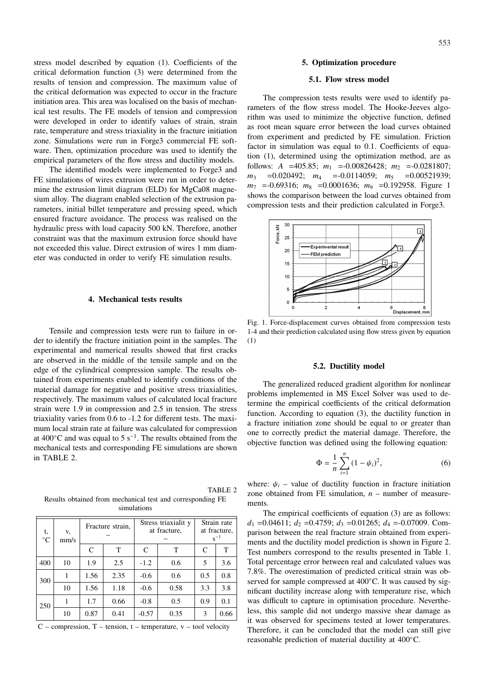553

stress model described by equation (1). Coefficients of the critical deformation function (3) were determined from the results of tension and compression. The maximum value of the critical deformation was expected to occur in the fracture initiation area. This area was localised on the basis of mechanical test results. The FE models of tension and compression were developed in order to identify values of strain, strain rate, temperature and stress triaxiality in the fracture initiation zone. Simulations were run in Forge3 commercial FE software. Then, optimization procedure was used to identify the empirical parameters of the flow stress and ductility models.

The identified models were implemented to Forge3 and FE simulations of wires extrusion were run in order to determine the extrusion limit diagram (ELD) for MgCa08 magnesium alloy. The diagram enabled selection of the extrusion parameters, initial billet temperature and pressing speed, which ensured fracture avoidance. The process was realised on the hydraulic press with load capacity 500 kN. Therefore, another constraint was that the maximum extrusion force should have not exceeded this value. Direct extrusion of wires 1 mm diameter was conducted in order to verify FE simulation results.

## **4. Mechanical tests results**

Tensile and compression tests were run to failure in order to identify the fracture initiation point in the samples. The experimental and numerical results showed that first cracks are observed in the middle of the tensile sample and on the edge of the cylindrical compression sample. The results obtained from experiments enabled to identify conditions of the material damage for negative and positive stress triaxialities, respectively. The maximum values of calculated local fracture strain were 1.9 in compression and 2.5 in tension. The stress triaxiality varies from 0.6 to -1.2 for different tests. The maximum local strain rate at failure was calculated for compression at 400 $^{\circ}$ C and was equal to 5 s<sup>-1</sup>. The results obtained from the mechanical tests and corresponding FE simulations are shown in TABLE 2.

TABLE 2 Results obtained from mechanical test and corresponding FE simulations

| t,<br>°C | V,<br>mm/s | Fracture strain, |      | Stress triaxialit y<br>at fracture, |      | Strain rate<br>at fracture,<br>$s^{-1}$ |      |
|----------|------------|------------------|------|-------------------------------------|------|-----------------------------------------|------|
|          |            | C                | T    | C                                   | T    | C                                       | T    |
| 400      | 10         | 1.9              | 2.5  | $-1.2$                              | 0.6  | 5                                       | 3.6  |
| 300      |            | 1.56             | 2.35 | $-0.6$                              | 0.6  | 0.5                                     | 0.8  |
|          | 10         | 1.56             | 1.18 | $-0.6$                              | 0.58 | 3.3                                     | 3.8  |
| 250      |            | 1.7              | 0.66 | $-0.8$                              | 0.5  | 0.9                                     | 0.1  |
|          | 10         | 0.87             | 0.41 | $-0.57$                             | 0.35 | 3                                       | 0.66 |

 $C$  – compression,  $T$  – tension, t – temperature,  $v$  – tool velocity

#### **5. Optimization procedure**

#### **5.1. Flow stress model**

The compression tests results were used to identify parameters of the flow stress model. The Hooke-Jeeves algorithm was used to minimize the objective function, defined as root mean square error between the load curves obtained from experiment and predicted by FE simulation. Friction factor in simulation was equal to 0.1. Coefficients of equation (1), determined using the optimization method, are as follows: *A* =405.85;  $m_1$  =-0.00826428;  $m_2$  =-0.0281807;  $m_3$  =0.020492;  $m_4$  =-0.0114059;  $m_5$  =0.00521939; *m*<sup>7</sup> =-0.69316; *m*<sup>8</sup> =0.0001636; *m*<sup>9</sup> =0.192958. Figure 1 shows the comparison between the load curves obtained from compression tests and their prediction calculated in Forge3.



Fig. 1. Force-displacement curves obtained from compression tests 1-4 and their prediction calculated using flow stress given by equation (1)

# **5.2. Ductility model**

The generalized reduced gradient algorithm for nonlinear problems implemented in MS Excel Solver was used to determine the empirical coefficients of the critical deformation function. According to equation (3), the ductility function in a fracture initiation zone should be equal to or greater than one to correctly predict the material damage. Therefore, the objective function was defined using the following equation:

$$
\Phi = \frac{1}{n} \sum_{i=1}^{n} (1 - \psi_i)^2,
$$
\n(6)

where:  $\psi_i$  – value of ductility function in fracture initiation zone obtained from FE simulation, *n* – number of measurements.

The empirical coefficients of equation (3) are as follows: *d*<sub>1</sub> = 0.04611; *d*<sub>2</sub> = 0.4759; *d*<sub>3</sub> = 0.01265; *d*<sub>4</sub> = -0.07009. Comparison between the real fracture strain obtained from experiments and the ductility model prediction is shown in Figure 2. Test numbers correspond to the results presented in Table 1. Total percentage error between real and calculated values was 7.8%. The overestimation of predicted critical strain was observed for sample compressed at 400 °C. It was caused by significant ductility increase along with temperature rise, which was difficult to capture in optimisation procedure. Nevertheless, this sample did not undergo massive shear damage as it was observed for specimens tested at lower temperatures. Therefore, it can be concluded that the model can still give reasonable prediction of material ductility at 400◦C.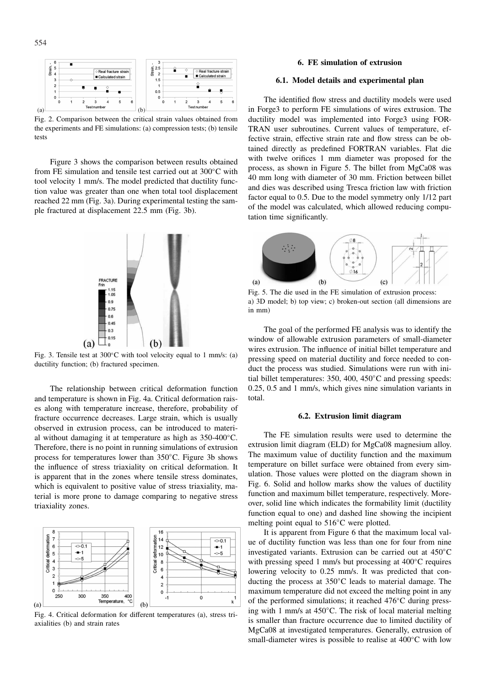

Fig. 2. Comparison between the critical strain values obtained from the experiments and FE simulations: (a) compression tests; (b) tensile tests

Figure 3 shows the comparison between results obtained from FE simulation and tensile test carried out at 300°C with tool velocity 1 mm/s. The model predicted that ductility function value was greater than one when total tool displacement reached 22 mm (Fig. 3a). During experimental testing the sample fractured at displacement 22.5 mm (Fig. 3b).



Fig. 3. Tensile test at 300◦C with tool velocity equal to 1 mm/s: (a) ductility function; (b) fractured specimen.

The relationship between critical deformation function and temperature is shown in Fig. 4a. Critical deformation raises along with temperature increase, therefore, probability of fracture occurrence decreases. Large strain, which is usually observed in extrusion process, can be introduced to material without damaging it at temperature as high as 350-400◦C. Therefore, there is no point in running simulations of extrusion process for temperatures lower than 350◦C. Figure 3b shows the influence of stress triaxiality on critical deformation. It is apparent that in the zones where tensile stress dominates, which is equivalent to positive value of stress triaxiality, material is more prone to damage comparing to negative stress triaxiality zones.



Fig. 4. Critical deformation for different temperatures (a), stress triaxialities (b) and strain rates

## **6. FE simulation of extrusion**

## **6.1. Model details and experimental plan**

The identified flow stress and ductility models were used in Forge3 to perform FE simulations of wires extrusion. The ductility model was implemented into Forge3 using FOR-TRAN user subroutines. Current values of temperature, effective strain, effective strain rate and flow stress can be obtained directly as predefined FORTRAN variables. Flat die with twelve orifices 1 mm diameter was proposed for the process, as shown in Figure 5. The billet from MgCa08 was 40 mm long with diameter of 30 mm. Friction between billet and dies was described using Tresca friction law with friction factor equal to 0.5. Due to the model symmetry only 1/12 part of the model was calculated, which allowed reducing computation time significantly.



Fig. 5. The die used in the FE simulation of extrusion process: a) 3D model; b) top view; c) broken-out section (all dimensions are in mm)

The goal of the performed FE analysis was to identify the window of allowable extrusion parameters of small-diameter wires extrusion. The influence of initial billet temperature and pressing speed on material ductility and force needed to conduct the process was studied. Simulations were run with initial billet temperatures: 350, 400, 450◦C and pressing speeds: 0.25, 0.5 and 1 mm/s, which gives nine simulation variants in total.

## **6.2. Extrusion limit diagram**

The FE simulation results were used to determine the extrusion limit diagram (ELD) for MgCa08 magnesium alloy. The maximum value of ductility function and the maximum temperature on billet surface were obtained from every simulation. Those values were plotted on the diagram shown in Fig. 6. Solid and hollow marks show the values of ductility function and maximum billet temperature, respectively. Moreover, solid line which indicates the formability limit (ductility function equal to one) and dashed line showing the incipient melting point equal to 516◦C were plotted.

It is apparent from Figure 6 that the maximum local value of ductility function was less than one for four from nine investigated variants. Extrusion can be carried out at 450◦C with pressing speed 1 mm/s but processing at 400◦C requires lowering velocity to 0.25 mm/s. It was predicted that conducting the process at 350◦C leads to material damage. The maximum temperature did not exceed the melting point in any of the performed simulations; it reached 476◦C during pressing with 1 mm/s at 450◦C. The risk of local material melting is smaller than fracture occurrence due to limited ductility of MgCa08 at investigated temperatures. Generally, extrusion of small-diameter wires is possible to realise at 400℃ with low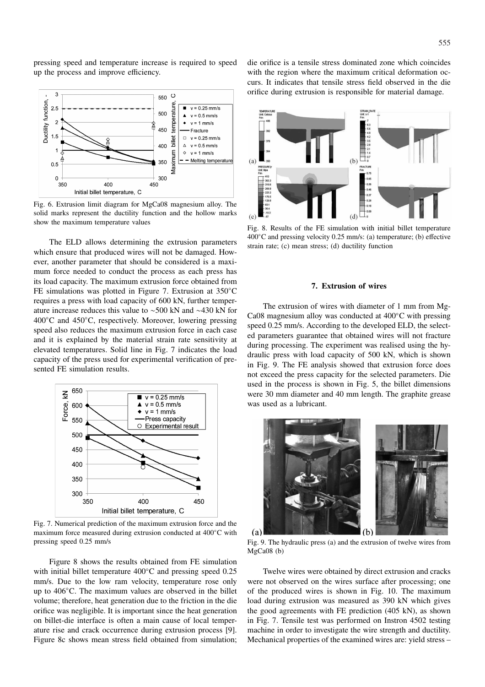pressing speed and temperature increase is required to speed up the process and improve efficiency.



Fig. 6. Extrusion limit diagram for MgCa08 magnesium alloy. The solid marks represent the ductility function and the hollow marks show the maximum temperature values

The ELD allows determining the extrusion parameters which ensure that produced wires will not be damaged. However, another parameter that should be considered is a maximum force needed to conduct the process as each press has its load capacity. The maximum extrusion force obtained from FE simulations was plotted in Figure 7. Extrusion at 350◦C requires a press with load capacity of 600 kN, further temperature increase reduces this value to ∼500 kN and ∼430 kN for 400◦C and 450◦C, respectively. Moreover, lowering pressing speed also reduces the maximum extrusion force in each case and it is explained by the material strain rate sensitivity at elevated temperatures. Solid line in Fig. 7 indicates the load capacity of the press used for experimental verification of presented FE simulation results.



Fig. 7. Numerical prediction of the maximum extrusion force and the maximum force measured during extrusion conducted at 400◦C with pressing speed 0.25 mm/s

Figure 8 shows the results obtained from FE simulation with initial billet temperature 400◦C and pressing speed 0.25 mm/s. Due to the low ram velocity, temperature rose only up to 406◦C. The maximum values are observed in the billet volume; therefore, heat generation due to the friction in the die orifice was negligible. It is important since the heat generation on billet-die interface is often a main cause of local temperature rise and crack occurrence during extrusion process [9]. Figure 8c shows mean stress field obtained from simulation; die orifice is a tensile stress dominated zone which coincides with the region where the maximum critical deformation occurs. It indicates that tensile stress field observed in the die orifice during extrusion is responsible for material damage.



Fig. 8. Results of the FE simulation with initial billet temperature 400◦C and pressing velocity 0.25 mm/s: (a) temperature; (b) effective strain rate; (c) mean stress; (d) ductility function

### **7. Extrusion of wires**

The extrusion of wires with diameter of 1 mm from Mg-Ca08 magnesium alloy was conducted at 400◦C with pressing speed 0.25 mm/s. According to the developed ELD, the selected parameters guarantee that obtained wires will not fracture during processing. The experiment was realised using the hydraulic press with load capacity of 500 kN, which is shown in Fig. 9. The FE analysis showed that extrusion force does not exceed the press capacity for the selected parameters. Die used in the process is shown in Fig. 5, the billet dimensions were 30 mm diameter and 40 mm length. The graphite grease was used as a lubricant.



Fig. 9. The hydraulic press (a) and the extrusion of twelve wires from MgCa08 (b)

Twelve wires were obtained by direct extrusion and cracks were not observed on the wires surface after processing; one of the produced wires is shown in Fig. 10. The maximum load during extrusion was measured as 390 kN which gives the good agreements with FE prediction (405 kN), as shown in Fig. 7. Tensile test was performed on Instron 4502 testing machine in order to investigate the wire strength and ductility. Mechanical properties of the examined wires are: yield stress –